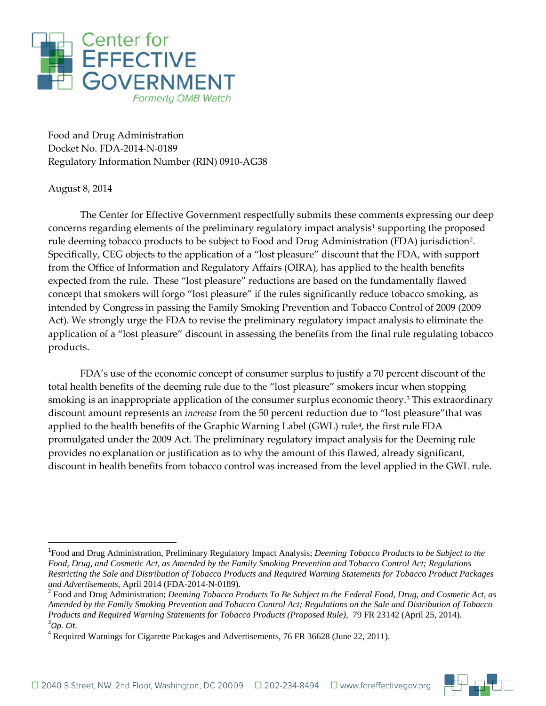

Food and Drug Administration Docket No. FDA-2014-N-0189 Regulatory Information Number (RIN) 0910-AG38

## August 8, 2014

l

The Center for Effective Government respectfully submits these comments expressing our deep concerns regarding elements of the preliminary regulatory impact analysis<sup>1</sup> supporting the proposed rule deeming tobacco products to be subject to Food and Drug Administration (FDA) jurisdiction[2](#page-0-1). Specifically, CEG objects to the application of a "lost pleasure" discount that the FDA, with support from the Office of Information and Regulatory Affairs (OIRA), has applied to the health benefits expected from the rule. These "lost pleasure" reductions are based on the fundamentally flawed concept that smokers will forgo "lost pleasure" if the rules significantly reduce tobacco smoking, as intended by Congress in passing the Family Smoking Prevention and Tobacco Control of 2009 (2009 Act). We strongly urge the FDA to revise the preliminary regulatory impact analysis to eliminate the application of a "lost pleasure" discount in assessing the benefits from the final rule regulating tobacco products.

FDA's use of the economic concept of consumer surplus to justify a 70 percent discount of the total health benefits of the deeming rule due to the "lost pleasure" smokers incur when stopping smoking is an inappropriate application of the consumer surplus economic theory.[3](#page-0-2) This extraordinary discount amount represents an *increase* from the 50 percent reduction due to "lost pleasure"that was applied to the health benefits of the Graphic Warning Label (GWL) rule<sup>[4](#page-0-3)</sup>, the first rule FDA promulgated under the 2009 Act. The preliminary regulatory impact analysis for the Deeming rule provides no explanation or justification as to why the amount of this flawed, already significant, discount in health benefits from tobacco control was increased from the level applied in the GWL rule.



<span id="page-0-0"></span><sup>1</sup> Food and Drug Administration, Preliminary Regulatory Impact Analysis; *Deeming Tobacco Products to be Subject to the Food, Drug, and Cosmetic Act, as Amended by the Family Smoking Prevention and Tobacco Control Act; Regulations Restricting the Sale and Distribution of Tobacco Products and Required Warning Statements for Tobacco Product Packages*  and Advertisements, April 2014 (FDA-2014-N-0189).<br><sup>2</sup> Food and Drug Administration; *Deeming Tobacco Products To Be Subject to the Federal Food, Drug, and Cosmetic Act, as* 

<span id="page-0-1"></span>*Amended by the Family Smoking Prevention and Tobacco Control Act; Regulations on the Sale and Distribution of Tobacco Products and Required Warning Statements for Tobacco Products (Proposed Rule),* 79 FR 23142 (April 25, 2014). *Op. Cit.*

<span id="page-0-3"></span><span id="page-0-2"></span><sup>4</sup> Required Warnings for Cigarette Packages and Advertisements, 76 FR 36628 (June 22, 2011).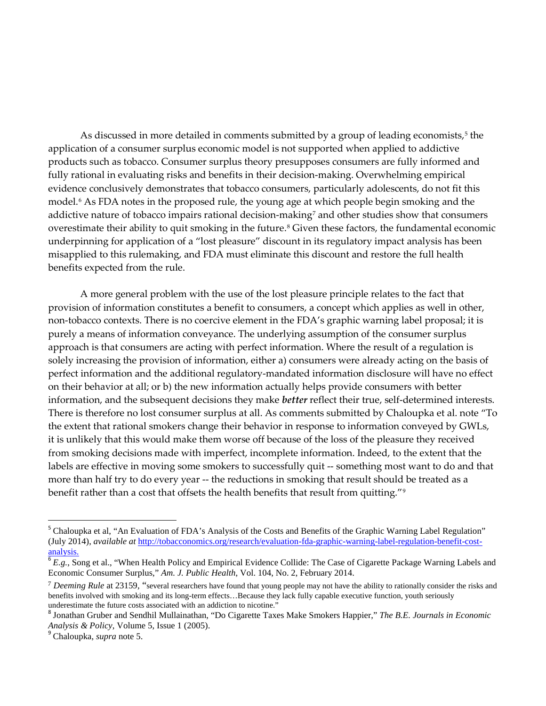As discussed in more detailed in comments submitted by a group of leading economists,<sup>[5](#page-1-0)</sup> the application of a consumer surplus economic model is not supported when applied to addictive products such as tobacco. Consumer surplus theory presupposes consumers are fully informed and fully rational in evaluating risks and benefits in their decision-making. Overwhelming empirical evidence conclusively demonstrates that tobacco consumers, particularly adolescents, do not fit this model.[6](#page-1-1) As FDA notes in the proposed rule, the young age at which people begin smoking and the addictive nature of tobacco impairs rational decision-making<sup>[7](#page-1-2)</sup> and other studies show that consumers overestimate their ability to quit smoking in the future.<sup>[8](#page-1-3)</sup> Given these factors, the fundamental economic underpinning for application of a "lost pleasure" discount in its regulatory impact analysis has been misapplied to this rulemaking, and FDA must eliminate this discount and restore the full health benefits expected from the rule.

A more general problem with the use of the lost pleasure principle relates to the fact that provision of information constitutes a benefit to consumers, a concept which applies as well in other, non-tobacco contexts. There is no coercive element in the FDA's graphic warning label proposal; it is purely a means of information conveyance. The underlying assumption of the consumer surplus approach is that consumers are acting with perfect information. Where the result of a regulation is solely increasing the provision of information, either a) consumers were already acting on the basis of perfect information and the additional regulatory-mandated information disclosure will have no effect on their behavior at all; or b) the new information actually helps provide consumers with better information, and the subsequent decisions they make *better* reflect their true, self-determined interests. There is therefore no lost consumer surplus at all. As comments submitted by Chaloupka et al. note "To the extent that rational smokers change their behavior in response to information conveyed by GWLs, it is unlikely that this would make them worse off because of the loss of the pleasure they received from smoking decisions made with imperfect, incomplete information. Indeed, to the extent that the labels are effective in moving some smokers to successfully quit -- something most want to do and that more than half try to do every year -- the reductions in smoking that result should be treated as a benefit rather than a cost that offsets the health benefits that result from quitting."<sup>[9](#page-1-4)</sup>

l

<span id="page-1-0"></span><sup>&</sup>lt;sup>5</sup> Chaloupka et al, "An Evaluation of FDA's Analysis of the Costs and Benefits of the Graphic Warning Label Regulation" (July 2014), *available at* [http://tobacconomics.org/research/evaluation-fda-graphic-warning-label-regulation-benefit-cost](http://tobacconomics.org/research/evaluation-fda-graphic-warning-label-regulation-benefit-cost-analysis.)[analysis.](http://tobacconomics.org/research/evaluation-fda-graphic-warning-label-regulation-benefit-cost-analysis.)

<span id="page-1-1"></span><sup>6</sup> *E.g.*, Song et al., "When Health Policy and Empirical Evidence Collide: The Case of Cigarette Package Warning Labels and Economic Consumer Surplus," *Am. J. Public Health*, Vol. 104, No. 2, February 2014.

<span id="page-1-2"></span><sup>7</sup> *Deeming Rule* at 23159, "several researchers have found that young people may not have the ability to rationally consider the risks and benefits involved with smoking and its long-term effects…Because they lack fully capable executive function, youth seriously underestimate the future costs associated with an addiction to nicotine."

<span id="page-1-3"></span><sup>8</sup> Jonathan Gruber and Sendhil Mullainathan, "Do Cigarette Taxes Make Smokers Happier," *The B.E. Journals in Economic Analysis & Policy*, Volume 5, Issue 1 (2005). <sup>9</sup> Chaloupka, *supra* note 5.

<span id="page-1-4"></span>